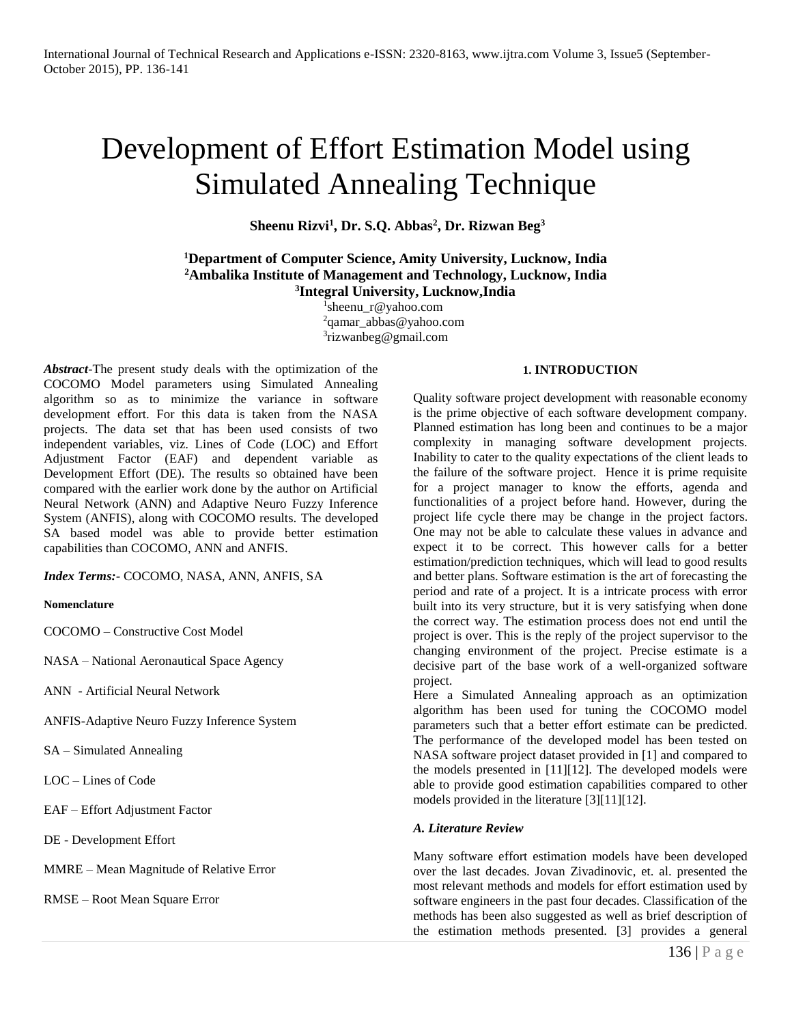# Development of Effort Estimation Model using Simulated Annealing Technique

**Sheenu Rizvi<sup>1</sup> , Dr. S.Q. Abbas<sup>2</sup> , Dr. Rizwan Beg<sup>3</sup>**

## **<sup>1</sup>Department of Computer Science, Amity University, Lucknow, India <sup>2</sup>Ambalika Institute of Management and Technology, Lucknow, India 3 Integral University, Lucknow,India**

1 sheenu\_r@yahoo.com  $2$ qamar\_abbas@yahoo.com <sup>3</sup>rizwanbeg@gmail.com

*Abstract*-The present study deals with the optimization of the COCOMO Model parameters using Simulated Annealing algorithm so as to minimize the variance in software development effort. For this data is taken from the NASA projects. The data set that has been used consists of two independent variables, viz. Lines of Code (LOC) and Effort Adjustment Factor (EAF) and dependent variable as Development Effort (DE). The results so obtained have been compared with the earlier work done by the author on Artificial Neural Network (ANN) and Adaptive Neuro Fuzzy Inference System (ANFIS), along with COCOMO results. The developed SA based model was able to provide better estimation capabilities than COCOMO, ANN and ANFIS.

*Index Terms:-* COCOMO, NASA, ANN, ANFIS, SA

#### **Nomenclature**

COCOMO – Constructive Cost Model

NASA – National Aeronautical Space Agency

ANN - Artificial Neural Network

ANFIS-Adaptive Neuro Fuzzy Inference System

SA – Simulated Annealing

LOC – Lines of Code

EAF – Effort Adjustment Factor

DE - Development Effort

MMRE – Mean Magnitude of Relative Error

RMSE – Root Mean Square Error

## **1. INTRODUCTION**

Quality software project development with reasonable economy is the prime objective of each software development company. Planned estimation has long been and continues to be a major complexity in managing software development projects. Inability to cater to the quality expectations of the client leads to the failure of the software project. Hence it is prime requisite for a project manager to know the efforts, agenda and functionalities of a project before hand. However, during the project life cycle there may be change in the project factors. One may not be able to calculate these values in advance and expect it to be correct. This however calls for a better estimation/prediction techniques, which will lead to good results and better plans. Software estimation is the art of forecasting the period and rate of a project. It is a intricate process with error built into its very structure, but it is very satisfying when done the correct way. The estimation process does not end until the project is over. This is the reply of the project supervisor to the changing environment of the project. Precise estimate is a decisive part of the base work of a well-organized software project.

Here a Simulated Annealing approach as an optimization algorithm has been used for tuning the COCOMO model parameters such that a better effort estimate can be predicted. The performance of the developed model has been tested on NASA software project dataset provided in [1] and compared to the models presented in [11][12]. The developed models were able to provide good estimation capabilities compared to other models provided in the literature [3][11][12].

## *A. Literature Review*

Many software effort estimation models have been developed over the last decades. Jovan Zivadinovic, et. al. presented the most relevant methods and models for effort estimation used by software engineers in the past four decades. Classification of the methods has been also suggested as well as brief description of the estimation methods presented. [3] provides a general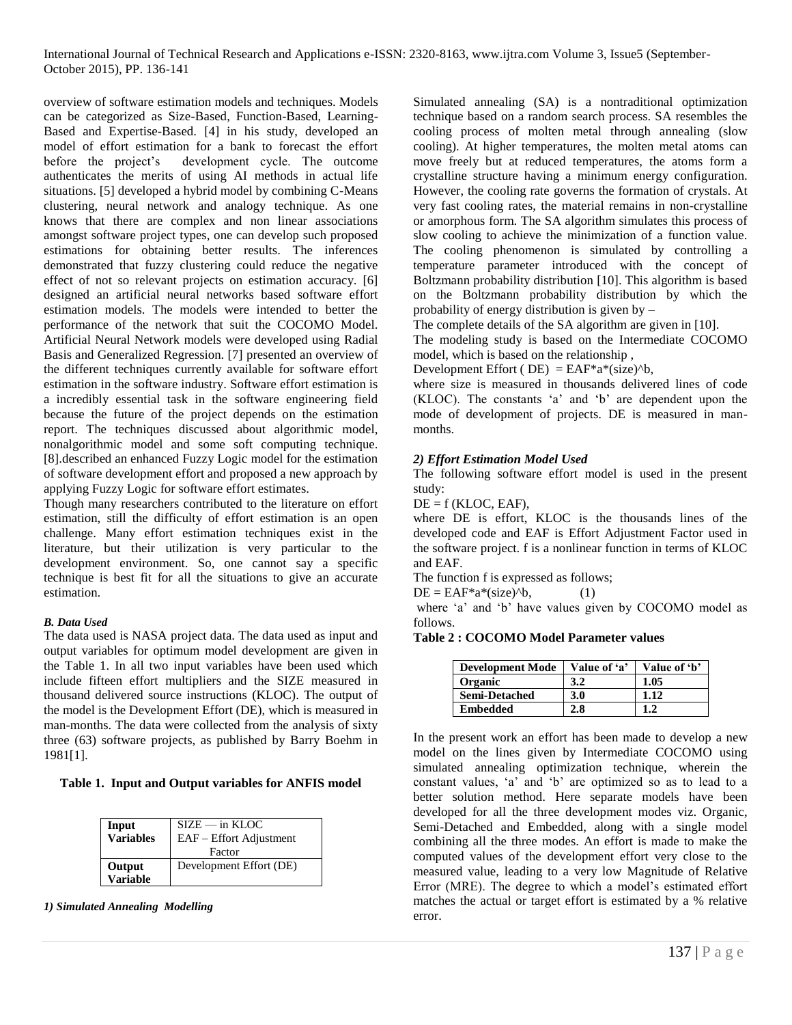overview of software estimation models and techniques. Models can be categorized as Size-Based, Function-Based, Learning-Based and Expertise-Based. [4] in his study, developed an model of effort estimation for a bank to forecast the effort before the project's development cycle. The outcome authenticates the merits of using AI methods in actual life situations. [5] developed a hybrid model by combining C-Means clustering, neural network and analogy technique. As one knows that there are complex and non linear associations amongst software project types, one can develop such proposed estimations for obtaining better results. The inferences demonstrated that fuzzy clustering could reduce the negative effect of not so relevant projects on estimation accuracy. [6] designed an artificial neural networks based software effort estimation models. The models were intended to better the performance of the network that suit the COCOMO Model. Artificial Neural Network models were developed using Radial Basis and Generalized Regression. [7] presented an overview of the different techniques currently available for software effort estimation in the software industry. Software effort estimation is a incredibly essential task in the software engineering field because the future of the project depends on the estimation report. The techniques discussed about algorithmic model, nonalgorithmic model and some soft computing technique. [8].described an enhanced Fuzzy Logic model for the estimation of software development effort and proposed a new approach by applying Fuzzy Logic for software effort estimates.

Though many researchers contributed to the literature on effort estimation, still the difficulty of effort estimation is an open challenge. Many effort estimation techniques exist in the literature, but their utilization is very particular to the development environment. So, one cannot say a specific technique is best fit for all the situations to give an accurate estimation.

#### *B. Data Used*

The data used is NASA project data. The data used as input and output variables for optimum model development are given in the Table 1. In all two input variables have been used which include fifteen effort multipliers and the SIZE measured in thousand delivered source instructions (KLOC). The output of the model is the Development Effort (DE), which is measured in man-months. The data were collected from the analysis of sixty three (63) software projects, as published by Barry Boehm in 1981[1].

#### **Table 1. Input and Output variables for ANFIS model**

| Input<br><b>Variables</b> | $SIZE - in KLOC$<br>EAF - Effort Adjustment<br>Factor |
|---------------------------|-------------------------------------------------------|
| Output<br>Variable        | Development Effort (DE)                               |

*1) Simulated Annealing Modelling*

Simulated annealing (SA) is a nontraditional optimization technique based on a random search process. SA resembles the cooling process of molten metal through annealing (slow cooling). At higher temperatures, the molten metal atoms can move freely but at reduced temperatures, the atoms form a crystalline structure having a minimum energy configuration. However, the cooling rate governs the formation of crystals. At very fast cooling rates, the material remains in non-crystalline or amorphous form. The SA algorithm simulates this process of slow cooling to achieve the minimization of a function value. The cooling phenomenon is simulated by controlling a temperature parameter introduced with the concept of Boltzmann probability distribution [10]. This algorithm is based on the Boltzmann probability distribution by which the probability of energy distribution is given by –

The complete details of the SA algorithm are given in [10].

The modeling study is based on the Intermediate COCOMO model, which is based on the relationship ,

Development Effort ( $DE$ ) = EAF\*a\*(size)^b,

where size is measured in thousands delivered lines of code (KLOC). The constants 'a' and 'b' are dependent upon the mode of development of projects. DE is measured in manmonths.

#### *2) Effort Estimation Model Used*

The following software effort model is used in the present study:

 $DE = f$  (KLOC, EAF),

where DE is effort, KLOC is the thousands lines of the developed code and EAF is Effort Adjustment Factor used in the software project. f is a nonlinear function in terms of KLOC and EAF.

The function f is expressed as follows;

 $DE = EAF^*a^*(size)^{\wedge}b,$  (1)

where 'a' and 'b' have values given by COCOMO model as follows.

#### **Table 2 : COCOMO Model Parameter values**

| <b>Development Mode</b> | Value of 'a' | Value of 'b' |
|-------------------------|--------------|--------------|
| <b>Organic</b>          | 3.2          | 1.05         |
| <b>Semi-Detached</b>    | 3.0          | 1.12         |
| <b>Embedded</b>         | 2.8          | $1.2\,$      |

In the present work an effort has been made to develop a new model on the lines given by Intermediate COCOMO using simulated annealing optimization technique, wherein the constant values, 'a' and 'b' are optimized so as to lead to a better solution method. Here separate models have been developed for all the three development modes viz. Organic, Semi-Detached and Embedded, along with a single model combining all the three modes. An effort is made to make the computed values of the development effort very close to the measured value, leading to a very low Magnitude of Relative Error (MRE). The degree to which a model's estimated effort matches the actual or target effort is estimated by a % relative error.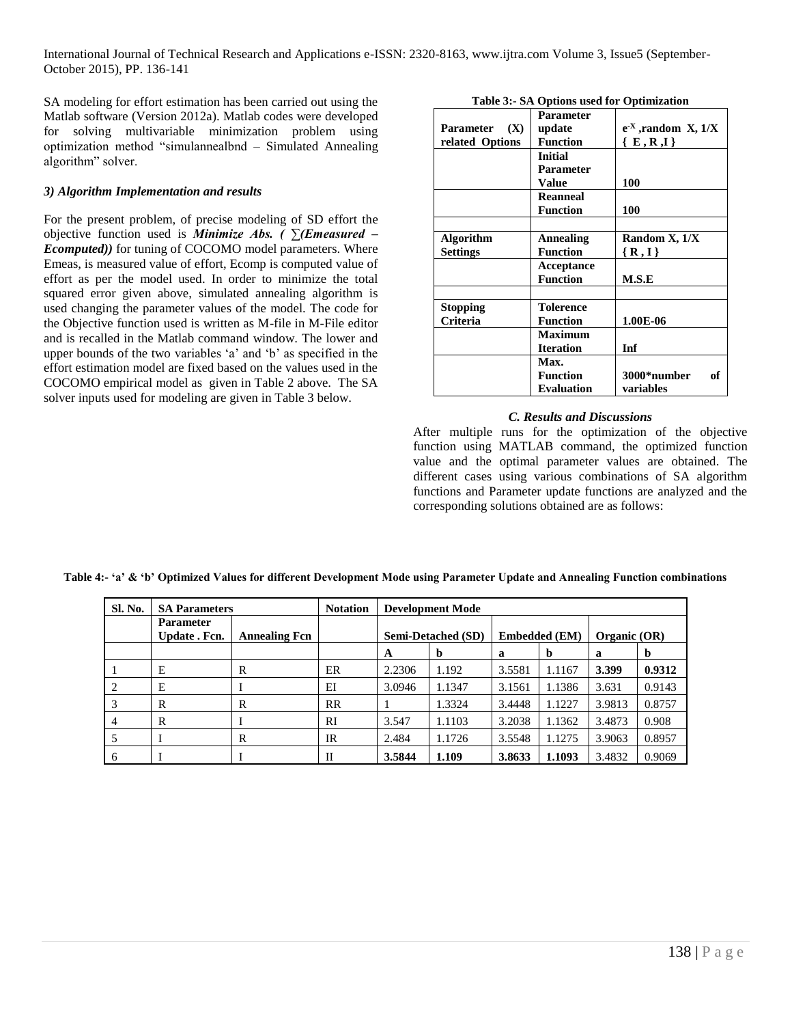SA modeling for effort estimation has been carried out using the Matlab software (Version 2012a). Matlab codes were developed for solving multivariable minimization problem using optimization method "simulannealbnd – Simulated Annealing algorithm" solver.

## *3) Algorithm Implementation and results*

For the present problem, of precise modeling of SD effort the objective function used is *Minimize Abs. ( ∑(Emeasured – Ecomputed))* for tuning of COCOMO model parameters. Where Emeas, is measured value of effort, Ecomp is computed value of effort as per the model used. In order to minimize the total squared error given above, simulated annealing algorithm is used changing the parameter values of the model. The code for the Objective function used is written as M-file in M-File editor and is recalled in the Matlab command window. The lower and upper bounds of the two variables 'a' and 'b' as specified in the effort estimation model are fixed based on the values used in the COCOMO empirical model as given in Table 2 above. The SA solver inputs used for modeling are given in Table 3 below.

|                  | <b>Parameter</b>  |                               |
|------------------|-------------------|-------------------------------|
| Parameter (X)    | update            | $e^{-X}$ , random $X$ , $1/X$ |
| related Options  | <b>Function</b>   | $\{E,R,I\}$                   |
|                  | Initial           |                               |
|                  | Parameter         |                               |
|                  | <b>Value</b>      | 100                           |
|                  | <b>Reanneal</b>   |                               |
|                  | <b>Function</b>   | 100                           |
|                  |                   |                               |
| <b>Algorithm</b> | <b>Annealing</b>  | Random X, 1/X                 |
| <b>Settings</b>  | <b>Function</b>   | $\{R,I\}$                     |
|                  | Acceptance        |                               |
|                  | <b>Function</b>   | M.S.E                         |
|                  |                   |                               |
| <b>Stopping</b>  | <b>Tolerence</b>  |                               |
| Criteria         | <b>Function</b>   | 1.00E-06                      |
|                  | <b>Maximum</b>    |                               |
|                  | <b>Iteration</b>  | Inf                           |
|                  | Max.              |                               |
|                  | <b>Function</b>   | 3000*number<br>of             |
|                  | <b>Evaluation</b> | variables                     |

**Table 3:- SA Options used for Optimization**

#### *C. Results and Discussions*

After multiple runs for the optimization of the objective function using MATLAB command, the optimized function value and the optimal parameter values are obtained. The different cases using various combinations of SA algorithm functions and Parameter update functions are analyzed and the corresponding solutions obtained are as follows:

| Sl. No. | <b>SA Parameters</b>              |                      | <b>Notation</b> | <b>Development Mode</b>   |        |                               |             |                |        |
|---------|-----------------------------------|----------------------|-----------------|---------------------------|--------|-------------------------------|-------------|----------------|--------|
|         | <b>Parameter</b><br>Update . Fcn. | <b>Annealing Fcn</b> |                 | <b>Semi-Detached (SD)</b> |        | <b>Embedded</b> ( <b>EM</b> ) |             | Organic $(OR)$ |        |
|         |                                   |                      |                 | A                         | b      | a                             | $\mathbf b$ | a              | Þ      |
|         | E                                 | R                    | ER              | 2.2306                    | 1.192  | 3.5581                        | 1.1167      | 3.399          | 0.9312 |
| 2       | Е                                 |                      | EI              | 3.0946                    | 1.1347 | 3.1561                        | 1.1386      | 3.631          | 0.9143 |
|         | R                                 | R                    | <b>RR</b>       |                           | 1.3324 | 3.4448                        | 1.1227      | 3.9813         | 0.8757 |
| 4       | R                                 |                      | <b>RI</b>       | 3.547                     | 1.1103 | 3.2038                        | 1.1362      | 3.4873         | 0.908  |
|         |                                   | R                    | IR              | 2.484                     | 1.1726 | 3.5548                        | 1.1275      | 3.9063         | 0.8957 |
| 6       |                                   |                      | Н               | 3.5844                    | 1.109  | 3.8633                        | 1.1093      | 3.4832         | 0.9069 |

**Table 4:- 'a' & 'b' Optimized Values for different Development Mode using Parameter Update and Annealing Function combinations**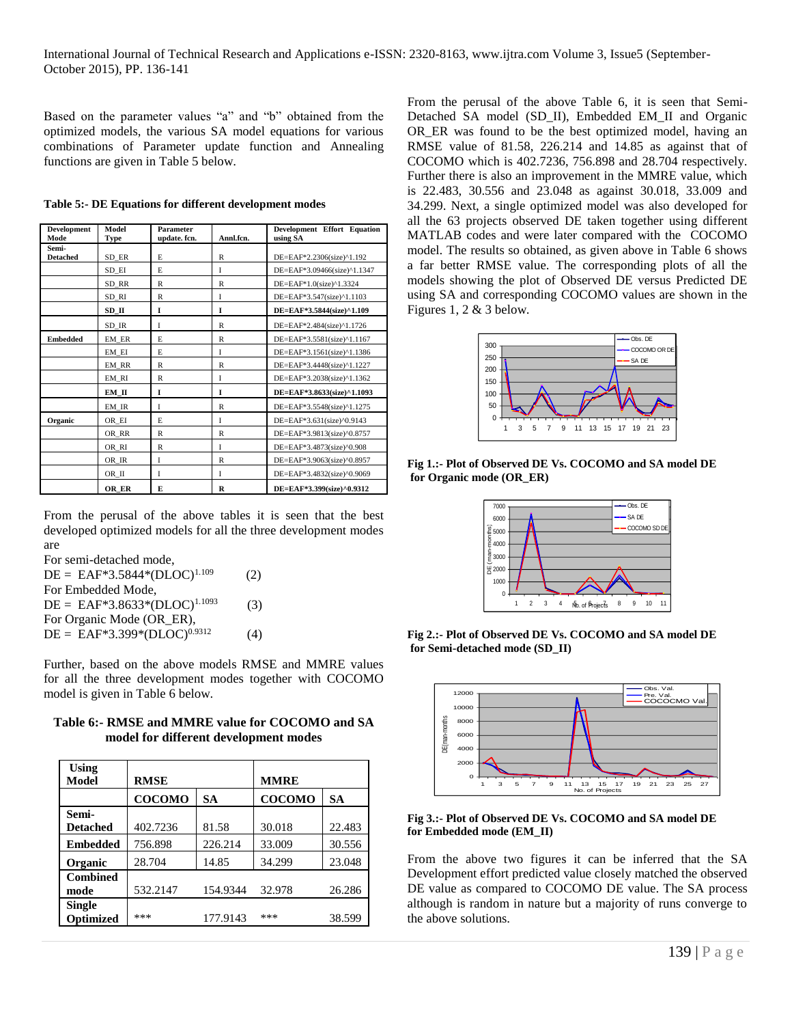Based on the parameter values "a" and "b" obtained from the optimized models, the various SA model equations for various combinations of Parameter update function and Annealing functions are given in Table 5 below.

| <b>Development</b><br>Mode | Model<br>Type | Parameter<br>update. fcn. | Annl.fcn.   | Development Effort Equation<br>using SA |
|----------------------------|---------------|---------------------------|-------------|-----------------------------------------|
| Semi-<br><b>Detached</b>   | SD ER         | E                         | R           | DE=EAF*2.2306(size)^1.192               |
|                            | SD EI         | E                         | T           | DE=EAF*3.09466(size)^1.1347             |
|                            | SD RR         | R                         | R           | DE=EAF*1.0(size)^1.3324                 |
|                            | SD RI         | R                         | I           | DE=EAF*3.547(size)^1.1103               |
|                            | SD II         | I                         | I           | DE=EAF*3.5844(size)^1.109               |
|                            | SD IR         | I                         | R           | DE=EAF*2.484(size)^1.1726               |
| <b>Embedded</b>            | EM ER         | E                         | R           | DE=EAF*3.5581(size)^1.1167              |
|                            | EM EI         | E                         | I           | DE=EAF*3.1561(size)^1.1386              |
|                            | EM RR         | R                         | R           | DE=EAF*3.4448(size)^1.1227              |
|                            | EM RI         | R                         | I           | DE=EAF*3.2038(size)^1.1362              |
|                            | EM II         | I                         | I           | DE=EAF*3.8633(size)^1.1093              |
|                            | EM IR         | I                         | R           | DE=EAF*3.5548(size)^1.1275              |
| Organic                    | OR EI         | E                         | T           | DE=EAF*3.631(size)^0.9143               |
|                            | OR RR         | R                         | R           | DE=EAF*3.9813(size)^0.8757              |
|                            | OR RI         | R                         | I           | DE=EAF*3.4873(size)^0.908               |
|                            | OR IR         | L                         | R           | DE=EAF*3.9063(size)^0.8957              |
|                            | OR_II         | I                         | I           | DE=EAF*3.4832(size)^0.9069              |
|                            | OR ER         | Е                         | $\mathbf R$ | DE=EAF*3.399(size)^0.9312               |

**Table 5:- DE Equations for different development modes**

From the perusal of the above tables it is seen that the best developed optimized models for all the three development modes are

For semi-detached mode,

 $DE = EAF*3.5844*(DLOC)^{1.109}$  (2) For Embedded Mode,  $DE = EAF*3.8633*(DLOC)^{1.1093}$  (3) For Organic Mode (OR\_ER),  $DE = EAF*3.399*(DLOC)^{0.9312}$ (4)

Further, based on the above models RMSE and MMRE values for all the three development modes together with COCOMO model is given in Table 6 below.

| Table 6:- RMSE and MMRE value for COCOMO and SA |
|-------------------------------------------------|
| model for different development modes           |

| <b>Using</b><br>Model             | <b>RMSE</b>   |           | <b>MMRE</b>   |           |
|-----------------------------------|---------------|-----------|---------------|-----------|
|                                   | <b>COCOMO</b> | <b>SA</b> | <b>COCOMO</b> | <b>SA</b> |
| Semi-<br><b>Detached</b>          | 402.7236      | 81.58     | 30.018        | 22.483    |
| <b>Embedded</b>                   | 756.898       | 226.214   | 33.009        | 30.556    |
| Organic                           | 28.704        | 14.85     | 34.299        | 23.048    |
| <b>Combined</b><br>mode           | 532.2147      | 154.9344  | 32.978        | 26.286    |
| <b>Single</b><br><b>Optimized</b> | ***           | 177.9143  | ***           | 38.599    |

From the perusal of the above Table 6, it is seen that Semi-Detached SA model (SD\_II), Embedded EM\_II and Organic OR\_ER was found to be the best optimized model, having an RMSE value of 81.58, 226.214 and 14.85 as against that of COCOMO which is 402.7236, 756.898 and 28.704 respectively. Further there is also an improvement in the MMRE value, which is 22.483, 30.556 and 23.048 as against 30.018, 33.009 and 34.299. Next, a single optimized model was also developed for all the 63 projects observed DE taken together using different MATLAB codes and were later compared with the COCOMO model. The results so obtained, as given above in Table 6 shows a far better RMSE value. The corresponding plots of all the models showing the plot of Observed DE versus Predicted DE using SA and corresponding COCOMO values are shown in the Figures 1, 2 & 3 below.



**Fig 1.:- Plot of Observed DE Vs. COCOMO and SA model DE for Organic mode (OR\_ER)**



**Fig 2.:- Plot of Observed DE Vs. COCOMO and SA model DE for Semi-detached mode (SD\_II)**



**Fig 3.:- Plot of Observed DE Vs. COCOMO and SA model DE for Embedded mode (EM\_II)**

From the above two figures it can be inferred that the SA Development effort predicted value closely matched the observed DE value as compared to COCOMO DE value. The SA process although is random in nature but a majority of runs converge to the above solutions.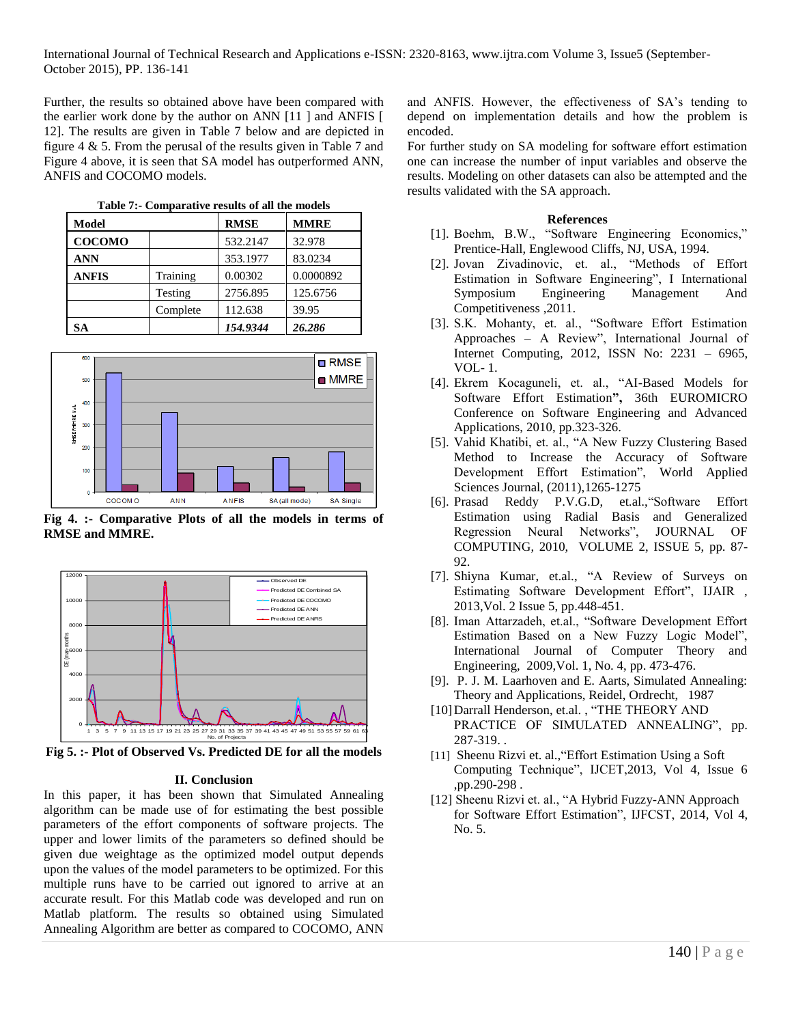Further, the results so obtained above have been compared with the earlier work done by the author on ANN [11 ] and ANFIS [ 12]. The results are given in Table 7 below and are depicted in figure 4 & 5. From the perusal of the results given in Table 7 and Figure 4 above, it is seen that SA model has outperformed ANN, ANFIS and COCOMO models.

| Model         |          | <b>RMSE</b> | <b>MMRE</b> |
|---------------|----------|-------------|-------------|
| <b>COCOMO</b> |          | 532.2147    | 32.978      |
| <b>ANN</b>    |          | 353.1977    | 83.0234     |
| <b>ANFIS</b>  | Training | 0.00302     | 0.0000892   |
|               | Testing  | 2756.895    | 125.6756    |
|               | Complete | 112.638     | 39.95       |
| SА            |          | 154.9344    | 26.286      |



**Fig 4. :- Comparative Plots of all the models in terms of RMSE and MMRE.**



**Fig 5. :- Plot of Observed Vs. Predicted DE for all the models**

#### **II. Conclusion**

In this paper, it has been shown that Simulated Annealing algorithm can be made use of for estimating the best possible parameters of the effort components of software projects. The upper and lower limits of the parameters so defined should be given due weightage as the optimized model output depends upon the values of the model parameters to be optimized. For this multiple runs have to be carried out ignored to arrive at an accurate result. For this Matlab code was developed and run on Matlab platform. The results so obtained using Simulated Annealing Algorithm are better as compared to COCOMO, ANN

and ANFIS. However, the effectiveness of SA's tending to depend on implementation details and how the problem is encoded.

For further study on SA modeling for software effort estimation one can increase the number of input variables and observe the results. Modeling on other datasets can also be attempted and the results validated with the SA approach.

#### **References**

- [1]. Boehm, B.W., "Software Engineering Economics," Prentice-Hall, Englewood Cliffs, NJ, USA, 1994.
- [2]. Jovan Zivadinovic, et. al., "Methods of Effort Estimation in Software Engineering", I International Symposium Engineering Management And Competitiveness ,2011.
- [3]. S.K. Mohanty, et. al., "Software Effort Estimation Approaches – A Review", International Journal of Internet Computing, 2012, ISSN No: 2231 – 6965, VOL- 1.
- [4]. Ekrem Kocaguneli, et. al., "AI-Based Models for Software Effort Estimation**",** 36th EUROMICRO Conference on Software Engineering and Advanced Applications, 2010, pp.323-326.
- [5]. Vahid Khatibi, et. al., "A New Fuzzy Clustering Based Method to Increase the Accuracy of Software Development Effort Estimation", World Applied Sciences Journal, (2011),1265-1275
- [6]. Prasad Reddy P.V.G.D, et.al.,"Software Effort Estimation using Radial Basis and Generalized Regression Neural Networks", JOURNAL OF COMPUTING, 2010, VOLUME 2, ISSUE 5, pp. 87- 92.
- [7]. Shiyna Kumar, et.al., "A Review of Surveys on Estimating Software Development Effort", IJAIR , 2013,Vol. 2 Issue 5, pp.448-451.
- [8]. Iman Attarzadeh, et.al., "Software Development Effort Estimation Based on a New Fuzzy Logic Model", International Journal of Computer Theory and Engineering, 2009,Vol. 1, No. 4, pp. 473-476.
- [9]. P. J. M. Laarhoven and E. Aarts, Simulated Annealing: Theory and Applications, Reidel, Ordrecht, 1987
- [10] Darrall Henderson, et.al., "THE THEORY AND PRACTICE OF SIMULATED ANNEALING", pp. 287-319. .
- [11] Sheenu Rizvi et. al.,"Effort Estimation Using a Soft Computing Technique", IJCET,2013, Vol 4, Issue 6 ,pp.290-298 .
- [12] Sheenu Rizvi et. al., "A Hybrid Fuzzy-ANN Approach for Software Effort Estimation", IJFCST, 2014, Vol 4, No. 5.